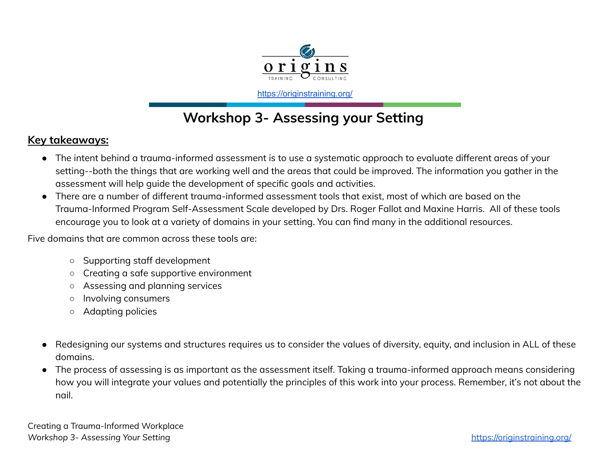

<https://originstraining.org/>

# **Workshop 3- Assessing your Setting**

### **Key takeaways:**

- The intent behind a trauma-informed assessment is to use a systematic approach to evaluate different areas of your setting--both the things that are working well and the areas that could be improved. The information you gather in the assessment will help guide the development of specific goals and activities.
- There are a number of different trauma-informed assessment tools that exist, most of which are based on the Trauma-Informed Program Self-Assessment Scale developed by Drs. Roger Fallot and Maxine Harris. All of these tools encourage you to look at a variety of domains in your setting. You can find many in the additional resources.

Five domains that are common across these tools are:

- Supporting staff development
- Creating a safe supportive environment
- Assessing and planning services
- Involving consumers
- Adapting policies
- Redesigning our systems and structures requires us to consider the values of diversity, equity, and inclusion in ALL of these domains.
- The process of assessing is as important as the assessment itself. Taking a trauma-informed approach means considering how you will integrate your values and potentially the principles of this work into your process. Remember, it's not about the nail.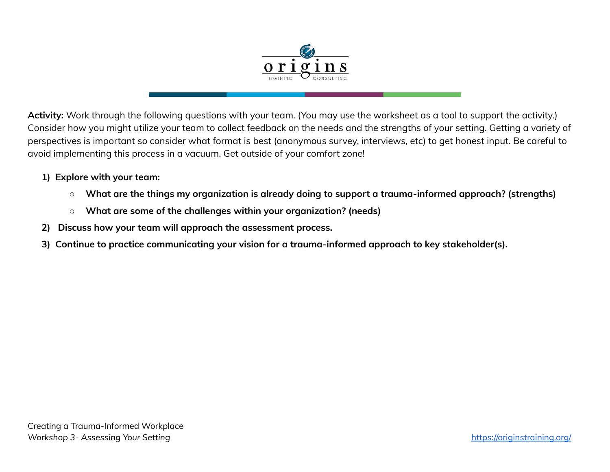

**Activity:** Work through the following questions with your team. (You may use the worksheet as a tool to support the activity.) Consider how you might utilize your team to collect feedback on the needs and the strengths of your setting. Getting a variety of perspectives is important so consider what format is best (anonymous survey, interviews, etc) to get honest input. Be careful to avoid implementing this process in a vacuum. Get outside of your comfort zone!

### **1) Explore with your team:**

- **What are the things my organization is already doing to support a trauma-informed approach? (strengths)**
- **What are some of the challenges within your organization? (needs)**
- **2) Discuss how your team will approach the assessment process.**
- **3) Continue to practice communicating your vision for a trauma-informed approach to key stakeholder(s).**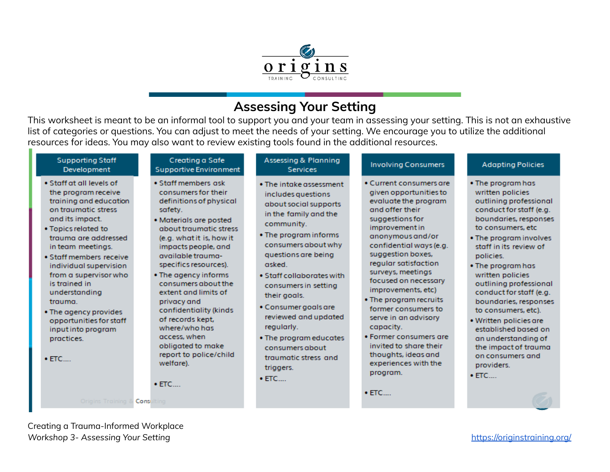

### **Assessing Your Setting**

This worksheet is meant to be an informal tool to support you and your team in assessing your setting. This is not an exhaustive list of categories or questions. You can adjust to meet the needs of your setting. We encourage you to utilize the additional resources for ideas. You may also want to review existing tools found in the additional resources.

| <b>Supporting Staff</b><br>Development                                                                                                                                                                                                                                                                                                                                                                                                                       | Creating a Safe<br><b>Supportive Environment</b>                                                                                                                                                                                                                                                                                                                                                                                                                                        | Assessing & Planning<br><b>Services</b>                                                                                                                                                                                                                                                                                                                                                                                              | <b>Involving Consumers</b>                                                                                                                                                                                                                                                                                                                                                                                                                                                                                             | <b>Adapting Policies</b>                                                                                                                                                                                                                                                                                                                                                                                                                                                                                     |
|--------------------------------------------------------------------------------------------------------------------------------------------------------------------------------------------------------------------------------------------------------------------------------------------------------------------------------------------------------------------------------------------------------------------------------------------------------------|-----------------------------------------------------------------------------------------------------------------------------------------------------------------------------------------------------------------------------------------------------------------------------------------------------------------------------------------------------------------------------------------------------------------------------------------------------------------------------------------|--------------------------------------------------------------------------------------------------------------------------------------------------------------------------------------------------------------------------------------------------------------------------------------------------------------------------------------------------------------------------------------------------------------------------------------|------------------------------------------------------------------------------------------------------------------------------------------------------------------------------------------------------------------------------------------------------------------------------------------------------------------------------------------------------------------------------------------------------------------------------------------------------------------------------------------------------------------------|--------------------------------------------------------------------------------------------------------------------------------------------------------------------------------------------------------------------------------------------------------------------------------------------------------------------------------------------------------------------------------------------------------------------------------------------------------------------------------------------------------------|
| • Staff at all levels of<br>the program receive<br>training and education<br>on traumatic stress<br>and its impact.<br>• Topics related to<br>trauma are addressed<br>in team meetings.<br>· Staff members receive<br>individual supervision<br>from a supervisor who<br>is trained in<br>understanding<br>trauma.<br>• The agency provides<br>opportunities for staff<br>input into program<br>practices.<br>$\bullet$ ETC<br>Origins Training & Consulting | • Staff members ask<br>consumers for their<br>definitions of physical<br>safety.<br>• Materials are posted<br>about traumatic stress<br>(e.g. what it is, how it<br>impacts people, and<br>available trauma-<br>specifics resources).<br>• The agency informs<br>consumers about the<br>extent and limits of<br>privacy and<br>confidentiality (kinds<br>of records kept.<br>where/who has<br>access, when<br>obligated to make<br>report to police/child<br>welfare).<br>$\bullet$ ETC | • The intake assessment<br>includes questions<br>about social supports<br>in the family and the<br>community.<br>• The program informs<br>consumers about why<br>questions are being<br>asked.<br>. Staff collaborates with<br>consumers in setting<br>their goals.<br>• Consumer goals are<br>reviewed and updated<br>regularly.<br>• The program educates<br>consumers about<br>traumatic stress and<br>triggers.<br>$\bullet$ ETC | • Current consumers are<br>given opportunities to<br>evaluate the program<br>and offer their<br>suggestions for<br>improvement in<br>anonymous and/or<br>confidential ways (e.g.<br>suggestion boxes,<br>regular satisfaction<br>surveys, meetings<br>focused on necessary<br>improvements, etc)<br>• The program recruits<br>former consumers to<br>serve in an advisory<br>capacity.<br>• Former consumers are<br>invited to share their<br>thoughts, ideas and<br>experiences with the<br>program.<br>$\bullet$ ETC | . The program has<br>written policies<br>outlining professional<br>conduct for staff (e.g.<br>boundaries, responses<br>to consumers, etc.<br>. The program involves<br>staff in its review of<br>policies.<br>• The program has<br>written policies<br>outlining professional<br>conduct for staff (e.g.<br>boundaries, responses<br>to consumers, etc).<br>· Written policies are<br>established based on<br>an understanding of<br>the impact of trauma<br>on consumers and<br>providers.<br>$\bullet$ ETC |
|                                                                                                                                                                                                                                                                                                                                                                                                                                                              |                                                                                                                                                                                                                                                                                                                                                                                                                                                                                         |                                                                                                                                                                                                                                                                                                                                                                                                                                      |                                                                                                                                                                                                                                                                                                                                                                                                                                                                                                                        |                                                                                                                                                                                                                                                                                                                                                                                                                                                                                                              |

Creating a Trauma-Informed Workplace *Workshop 3- Assessing Your Setting* <https://originstraining.org/>